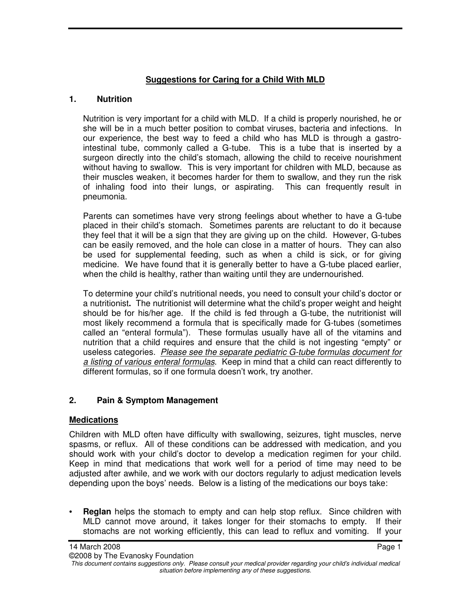# **Suggestions for Caring for a Child With MLD**

# **1. Nutrition**

Nutrition is very important for a child with MLD. If a child is properly nourished, he or she will be in a much better position to combat viruses, bacteria and infections. In our experience, the best way to feed a child who has MLD is through a gastrointestinal tube, commonly called a G-tube. This is a tube that is inserted by a surgeon directly into the child's stomach, allowing the child to receive nourishment without having to swallow. This is very important for children with MLD, because as their muscles weaken, it becomes harder for them to swallow, and they run the risk of inhaling food into their lungs, or aspirating. This can frequently result in pneumonia.

Parents can sometimes have very strong feelings about whether to have a G-tube placed in their child's stomach. Sometimes parents are reluctant to do it because they feel that it will be a sign that they are giving up on the child. However, G-tubes can be easily removed, and the hole can close in a matter of hours. They can also be used for supplemental feeding, such as when a child is sick, or for giving medicine. We have found that it is generally better to have a G-tube placed earlier, when the child is healthy, rather than waiting until they are undernourished.

To determine your child's nutritional needs, you need to consult your child's doctor or a nutritionist**.** The nutritionist will determine what the child's proper weight and height should be for his/her age. If the child is fed through a G-tube, the nutritionist will most likely recommend a formula that is specifically made for G-tubes (sometimes called an "enteral formula"). These formulas usually have all of the vitamins and nutrition that a child requires and ensure that the child is not ingesting "empty" or useless categories. Please see the separate pediatric G-tube formulas document for a listing of various enteral formulas. Keep in mind that a child can react differently to different formulas, so if one formula doesn't work, try another.

# **2. Pain & Symptom Management**

#### **Medications**

Children with MLD often have difficulty with swallowing, seizures, tight muscles, nerve spasms, or reflux. All of these conditions can be addressed with medication, and you should work with your child's doctor to develop a medication regimen for your child. Keep in mind that medications that work well for a period of time may need to be adjusted after awhile, and we work with our doctors regularly to adjust medication levels depending upon the boys' needs. Below is a listing of the medications our boys take:

**Reglan** helps the stomach to empty and can help stop reflux. Since children with MLD cannot move around, it takes longer for their stomachs to empty. If their stomachs are not working efficiently, this can lead to reflux and vomiting. If your

This document contains suggestions only. Please consult your medical provider regarding your child's individual medical situation before implementing any of these suggestions.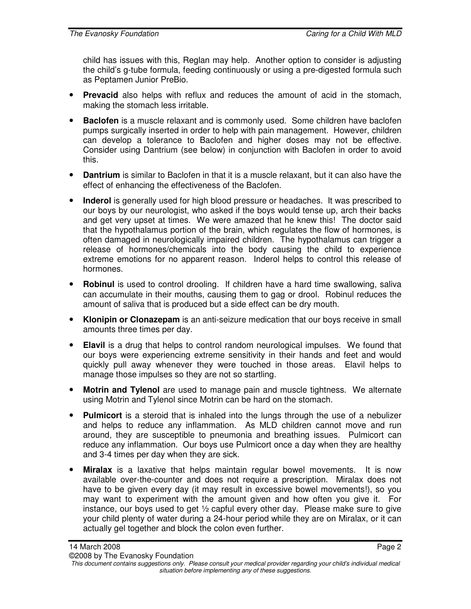child has issues with this, Reglan may help. Another option to consider is adjusting the child's g-tube formula, feeding continuously or using a pre-digested formula such as Peptamen Junior PreBio.

- **Prevacid** also helps with reflux and reduces the amount of acid in the stomach, making the stomach less irritable.
- **Baclofen** is a muscle relaxant and is commonly used. Some children have baclofen pumps surgically inserted in order to help with pain management. However, children can develop a tolerance to Baclofen and higher doses may not be effective. Consider using Dantrium (see below) in conjunction with Baclofen in order to avoid this.
- **Dantrium** is similar to Baclofen in that it is a muscle relaxant, but it can also have the effect of enhancing the effectiveness of the Baclofen.
- **Inderol** is generally used for high blood pressure or headaches. It was prescribed to our boys by our neurologist, who asked if the boys would tense up, arch their backs and get very upset at times. We were amazed that he knew this! The doctor said that the hypothalamus portion of the brain, which regulates the flow of hormones, is often damaged in neurologically impaired children. The hypothalamus can trigger a release of hormones/chemicals into the body causing the child to experience extreme emotions for no apparent reason. Inderol helps to control this release of hormones.
- **Robinul** is used to control drooling. If children have a hard time swallowing, saliva can accumulate in their mouths, causing them to gag or drool. Robinul reduces the amount of saliva that is produced but a side effect can be dry mouth.
- **Klonipin or Clonazepam** is an anti-seizure medication that our boys receive in small amounts three times per day.
- **Elavil** is a drug that helps to control random neurological impulses. We found that our boys were experiencing extreme sensitivity in their hands and feet and would quickly pull away whenever they were touched in those areas. Elavil helps to manage those impulses so they are not so startling.
- **Motrin and Tylenol** are used to manage pain and muscle tightness. We alternate using Motrin and Tylenol since Motrin can be hard on the stomach.
- **Pulmicort** is a steroid that is inhaled into the lungs through the use of a nebulizer and helps to reduce any inflammation. As MLD children cannot move and run around, they are susceptible to pneumonia and breathing issues. Pulmicort can reduce any inflammation. Our boys use Pulmicort once a day when they are healthy and 3-4 times per day when they are sick.
- **Miralax** is a laxative that helps maintain regular bowel movements. It is now available over-the-counter and does not require a prescription. Miralax does not have to be given every day (it may result in excessive bowel movements!), so you may want to experiment with the amount given and how often you give it. For instance, our boys used to get  $\frac{1}{2}$  capful every other day. Please make sure to give your child plenty of water during a 24-hour period while they are on Miralax, or it can actually gel together and block the colon even further.

This document contains suggestions only. Please consult your medical provider regarding your child's individual medical situation before implementing any of these suggestions.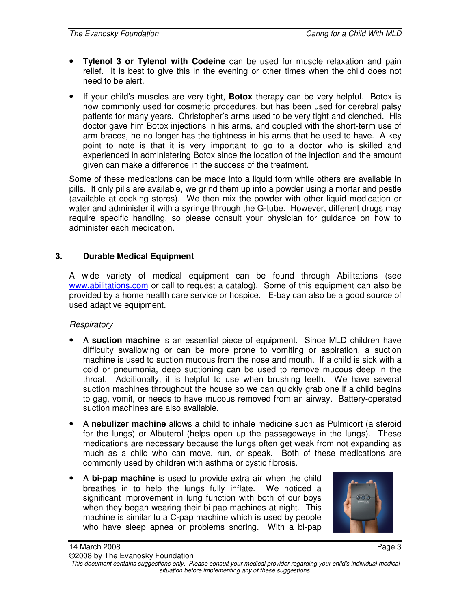- **Tylenol 3 or Tylenol with Codeine** can be used for muscle relaxation and pain relief. It is best to give this in the evening or other times when the child does not need to be alert.
- If your child's muscles are very tight, **Botox** therapy can be very helpful. Botox is now commonly used for cosmetic procedures, but has been used for cerebral palsy patients for many years. Christopher's arms used to be very tight and clenched. His doctor gave him Botox injections in his arms, and coupled with the short-term use of arm braces, he no longer has the tightness in his arms that he used to have. A key point to note is that it is very important to go to a doctor who is skilled and experienced in administering Botox since the location of the injection and the amount given can make a difference in the success of the treatment.

Some of these medications can be made into a liquid form while others are available in pills. If only pills are available, we grind them up into a powder using a mortar and pestle (available at cooking stores). We then mix the powder with other liquid medication or water and administer it with a syringe through the G-tube. However, different drugs may require specific handling, so please consult your physician for guidance on how to administer each medication.

### **3. Durable Medical Equipment**

A wide variety of medical equipment can be found through Abilitations (see www.abilitations.com or call to request a catalog). Some of this equipment can also be provided by a home health care service or hospice. E-bay can also be a good source of used adaptive equipment.

#### **Respiratory**

- A **suction machine** is an essential piece of equipment. Since MLD children have difficulty swallowing or can be more prone to vomiting or aspiration, a suction machine is used to suction mucous from the nose and mouth. If a child is sick with a cold or pneumonia, deep suctioning can be used to remove mucous deep in the throat. Additionally, it is helpful to use when brushing teeth. We have several suction machines throughout the house so we can quickly grab one if a child begins to gag, vomit, or needs to have mucous removed from an airway. Battery-operated suction machines are also available.
- A **nebulizer machine** allows a child to inhale medicine such as Pulmicort (a steroid for the lungs) or Albuterol (helps open up the passageways in the lungs). These medications are necessary because the lungs often get weak from not expanding as much as a child who can move, run, or speak. Both of these medications are commonly used by children with asthma or cystic fibrosis.
- A **bi-pap machine** is used to provide extra air when the child breathes in to help the lungs fully inflate. We noticed a significant improvement in lung function with both of our boys when they began wearing their bi-pap machines at night. This machine is similar to a C-pap machine which is used by people who have sleep apnea or problems snoring. With a bi-pap



This document contains suggestions only. Please consult your medical provider regarding your child's individual medical situation before implementing any of these suggestions.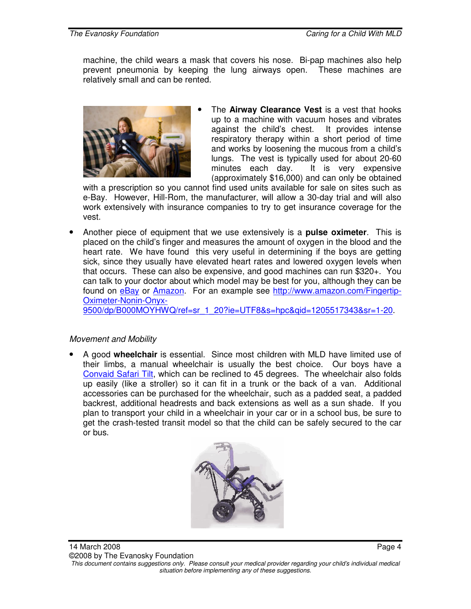machine, the child wears a mask that covers his nose. Bi-pap machines also help prevent pneumonia by keeping the lung airways open. These machines are relatively small and can be rented.



The **Airway Clearance Vest** is a vest that hooks up to a machine with vacuum hoses and vibrates against the child's chest. It provides intense respiratory therapy within a short period of time and works by loosening the mucous from a child's lungs. The vest is typically used for about 20-60 minutes each day. It is very expensive (approximately \$16,000) and can only be obtained

with a prescription so you cannot find used units available for sale on sites such as e-Bay. However, Hill-Rom, the manufacturer, will allow a 30-day trial and will also work extensively with insurance companies to try to get insurance coverage for the vest.

• Another piece of equipment that we use extensively is a **pulse oximeter**. This is placed on the child's finger and measures the amount of oxygen in the blood and the heart rate. We have found this very useful in determining if the boys are getting sick, since they usually have elevated heart rates and lowered oxygen levels when that occurs. These can also be expensive, and good machines can run \$320+. You can talk to your doctor about which model may be best for you, although they can be found on eBay or Amazon. For an example see http://www.amazon.com/Fingertip-Oximeter-Nonin-Onyx-

9500/dp/B000MOYHWQ/ref=sr\_1\_20?ie=UTF8&s=hpc&qid=1205517343&sr=1-20.

#### Movement and Mobility

• A good **wheelchair** is essential. Since most children with MLD have limited use of their limbs, a manual wheelchair is usually the best choice. Our boys have a Convaid Safari Tilt, which can be reclined to 45 degrees. The wheelchair also folds up easily (like a stroller) so it can fit in a trunk or the back of a van. Additional accessories can be purchased for the wheelchair, such as a padded seat, a padded backrest, additional headrests and back extensions as well as a sun shade. If you plan to transport your child in a wheelchair in your car or in a school bus, be sure to get the crash-tested transit model so that the child can be safely secured to the car or bus.



situation before implementing any of these suggestions.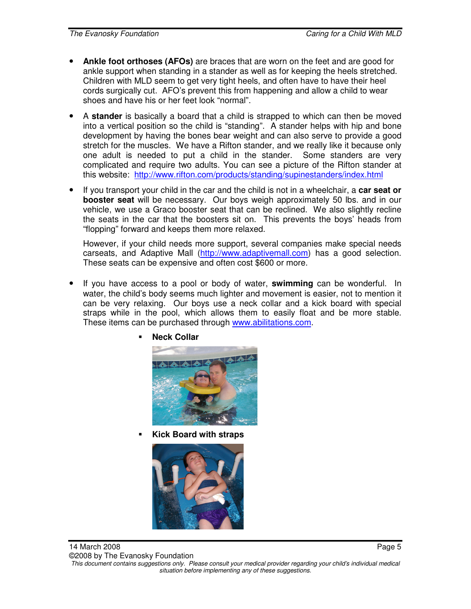- **Ankle foot orthoses (AFOs)** are braces that are worn on the feet and are good for ankle support when standing in a stander as well as for keeping the heels stretched. Children with MLD seem to get very tight heels, and often have to have their heel cords surgically cut. AFO's prevent this from happening and allow a child to wear shoes and have his or her feet look "normal".
- A **stander** is basically a board that a child is strapped to which can then be moved into a vertical position so the child is "standing". A stander helps with hip and bone development by having the bones bear weight and can also serve to provide a good stretch for the muscles. We have a Rifton stander, and we really like it because only one adult is needed to put a child in the stander. Some standers are very complicated and require two adults. You can see a picture of the Rifton stander at this website: http://www.rifton.com/products/standing/supinestanders/index.html
- If you transport your child in the car and the child is not in a wheelchair, a **car seat or booster seat** will be necessary. Our boys weigh approximately 50 lbs. and in our vehicle, we use a Graco booster seat that can be reclined. We also slightly recline the seats in the car that the boosters sit on. This prevents the boys' heads from "flopping" forward and keeps them more relaxed.

However, if your child needs more support, several companies make special needs carseats, and Adaptive Mall (http://www.adaptivemall.com) has a good selection. These seats can be expensive and often cost \$600 or more.

• If you have access to a pool or body of water, **swimming** can be wonderful. In water, the child's body seems much lighter and movement is easier, not to mention it can be very relaxing. Our boys use a neck collar and a kick board with special straps while in the pool, which allows them to easily float and be more stable. These items can be purchased through www.abilitations.com.



**Neck Collar** 

**Kick Board with straps** 

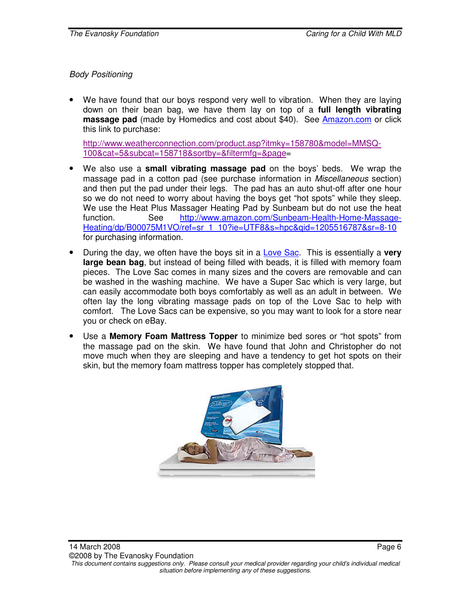Body Positioning

• We have found that our boys respond very well to vibration. When they are laying down on their bean bag, we have them lay on top of a **full length vibrating massage pad** (made by Homedics and cost about \$40). See Amazon.com or click this link to purchase:

http://www.weatherconnection.com/product.asp?itmky=158780&model=MMSQ-100&cat=5&subcat=158718&sortby=&filtermfg=&page=

- We also use a **small vibrating massage pad** on the boys' beds. We wrap the massage pad in a cotton pad (see purchase information in Miscellaneous section) and then put the pad under their legs. The pad has an auto shut-off after one hour so we do not need to worry about having the boys get "hot spots" while they sleep. We use the Heat Plus Massager Heating Pad by Sunbeam but do not use the heat function. See http://www.amazon.com/Sunbeam-Health-Home-Massage-Heating/dp/B00075M1VO/ref=sr\_1\_10?ie=UTF8&s=hpc&qid=1205516787&sr=8-10 for purchasing information.
- During the day, we often have the boys sit in a Love Sac. This is essentially a **very large bean bag**, but instead of being filled with beads, it is filled with memory foam pieces. The Love Sac comes in many sizes and the covers are removable and can be washed in the washing machine. We have a Super Sac which is very large, but can easily accommodate both boys comfortably as well as an adult in between. We often lay the long vibrating massage pads on top of the Love Sac to help with comfort. The Love Sacs can be expensive, so you may want to look for a store near you or check on eBay.
- Use a **Memory Foam Mattress Topper** to minimize bed sores or "hot spots" from the massage pad on the skin. We have found that John and Christopher do not move much when they are sleeping and have a tendency to get hot spots on their skin, but the memory foam mattress topper has completely stopped that.

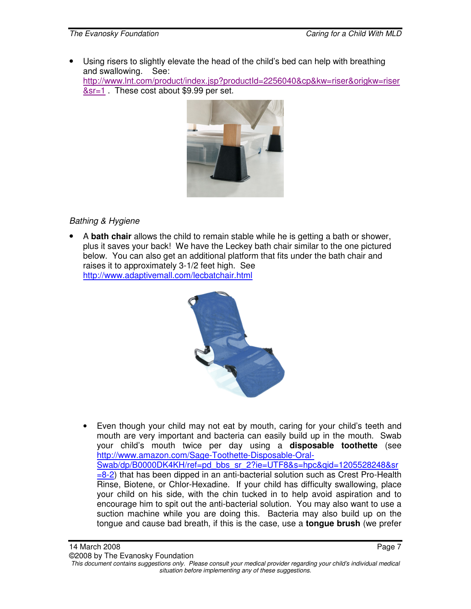• Using risers to slightly elevate the head of the child's bed can help with breathing and swallowing. See: http://www.lnt.com/product/index.jsp?productId=2256040&cp&kw=riser&origkw=riser &sr=1 . These cost about \$9.99 per set.



# Bathing & Hygiene

• A **bath chair** allows the child to remain stable while he is getting a bath or shower, plus it saves your back! We have the Leckey bath chair similar to the one pictured below. You can also get an additional platform that fits under the bath chair and raises it to approximately 3-1/2 feet high. See http://www.adaptivemall.com/lecbatchair.html



• Even though your child may not eat by mouth, caring for your child's teeth and mouth are very important and bacteria can easily build up in the mouth. Swab your child's mouth twice per day using a **disposable toothette** (see http://www.amazon.com/Sage-Toothette-Disposable-Oral-Swab/dp/B0000DK4KH/ref=pd\_bbs\_sr\_2?ie=UTF8&s=hpc&qid=1205528248&sr  $=$ 8-2) that has been dipped in an anti-bacterial solution such as Crest Pro-Health Rinse, Biotene, or Chlor-Hexadine. If your child has difficulty swallowing, place your child on his side, with the chin tucked in to help avoid aspiration and to encourage him to spit out the anti-bacterial solution. You may also want to use a suction machine while you are doing this. Bacteria may also build up on the tongue and cause bad breath, if this is the case, use a **tongue brush** (we prefer

This document contains suggestions only. Please consult your medical provider regarding your child's individual medical situation before implementing any of these suggestions.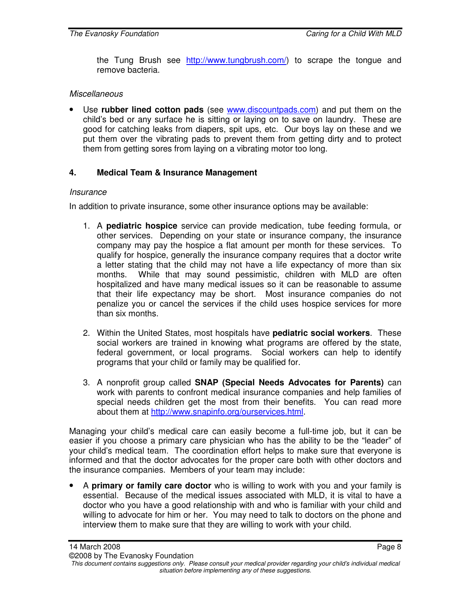the Tung Brush see http://www.tungbrush.com/) to scrape the tongue and remove bacteria.

#### **Miscellaneous**

• Use **rubber lined cotton pads** (see www.discountpads.com) and put them on the child's bed or any surface he is sitting or laying on to save on laundry. These are good for catching leaks from diapers, spit ups, etc. Our boys lay on these and we put them over the vibrating pads to prevent them from getting dirty and to protect them from getting sores from laying on a vibrating motor too long.

### **4. Medical Team & Insurance Management**

#### **Insurance**

In addition to private insurance, some other insurance options may be available:

- 1. A **pediatric hospice** service can provide medication, tube feeding formula, or other services. Depending on your state or insurance company, the insurance company may pay the hospice a flat amount per month for these services. To qualify for hospice, generally the insurance company requires that a doctor write a letter stating that the child may not have a life expectancy of more than six months. While that may sound pessimistic, children with MLD are often hospitalized and have many medical issues so it can be reasonable to assume that their life expectancy may be short. Most insurance companies do not penalize you or cancel the services if the child uses hospice services for more than six months.
- 2. Within the United States, most hospitals have **pediatric social workers**. These social workers are trained in knowing what programs are offered by the state, federal government, or local programs. Social workers can help to identify programs that your child or family may be qualified for.
- 3. A nonprofit group called **SNAP (Special Needs Advocates for Parents)** can work with parents to confront medical insurance companies and help families of special needs children get the most from their benefits. You can read more about them at http://www.snapinfo.org/ourservices.html.

Managing your child's medical care can easily become a full-time job, but it can be easier if you choose a primary care physician who has the ability to be the "leader" of your child's medical team. The coordination effort helps to make sure that everyone is informed and that the doctor advocates for the proper care both with other doctors and the insurance companies. Members of your team may include:

• A **primary or family care doctor** who is willing to work with you and your family is essential. Because of the medical issues associated with MLD, it is vital to have a doctor who you have a good relationship with and who is familiar with your child and willing to advocate for him or her. You may need to talk to doctors on the phone and interview them to make sure that they are willing to work with your child.

This document contains suggestions only. Please consult your medical provider regarding your child's individual medical situation before implementing any of these suggestions.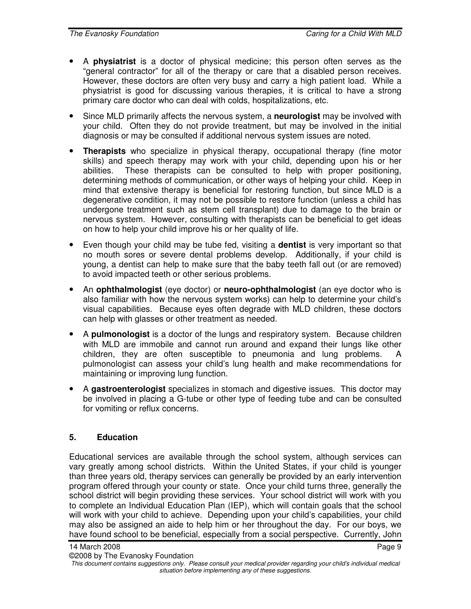- A **physiatrist** is a doctor of physical medicine; this person often serves as the "general contractor" for all of the therapy or care that a disabled person receives. However, these doctors are often very busy and carry a high patient load. While a physiatrist is good for discussing various therapies, it is critical to have a strong primary care doctor who can deal with colds, hospitalizations, etc.
- Since MLD primarily affects the nervous system, a **neurologist** may be involved with your child. Often they do not provide treatment, but may be involved in the initial diagnosis or may be consulted if additional nervous system issues are noted.
- **Therapists** who specialize in physical therapy, occupational therapy (fine motor skills) and speech therapy may work with your child, depending upon his or her abilities. These therapists can be consulted to help with proper positioning, determining methods of communication, or other ways of helping your child. Keep in mind that extensive therapy is beneficial for restoring function, but since MLD is a degenerative condition, it may not be possible to restore function (unless a child has undergone treatment such as stem cell transplant) due to damage to the brain or nervous system. However, consulting with therapists can be beneficial to get ideas on how to help your child improve his or her quality of life.
- Even though your child may be tube fed, visiting a **dentist** is very important so that no mouth sores or severe dental problems develop. Additionally, if your child is young, a dentist can help to make sure that the baby teeth fall out (or are removed) to avoid impacted teeth or other serious problems.
- An **ophthalmologist** (eye doctor) or **neuro-ophthalmologist** (an eye doctor who is also familiar with how the nervous system works) can help to determine your child's visual capabilities. Because eyes often degrade with MLD children, these doctors can help with glasses or other treatment as needed.
- A **pulmonologist** is a doctor of the lungs and respiratory system. Because children with MLD are immobile and cannot run around and expand their lungs like other children, they are often susceptible to pneumonia and lung problems. A pulmonologist can assess your child's lung health and make recommendations for maintaining or improving lung function.
- A **gastroenterologist** specializes in stomach and digestive issues. This doctor may be involved in placing a G-tube or other type of feeding tube and can be consulted for vomiting or reflux concerns.

# **5. Education**

Educational services are available through the school system, although services can vary greatly among school districts. Within the United States, if your child is younger than three years old, therapy services can generally be provided by an early intervention program offered through your county or state. Once your child turns three, generally the school district will begin providing these services. Your school district will work with you to complete an Individual Education Plan (IEP), which will contain goals that the school will work with your child to achieve. Depending upon your child's capabilities, your child may also be assigned an aide to help him or her throughout the day. For our boys, we have found school to be beneficial, especially from a social perspective. Currently, John

This document contains suggestions only. Please consult your medical provider regarding your child's individual medical situation before implementing any of these suggestions.